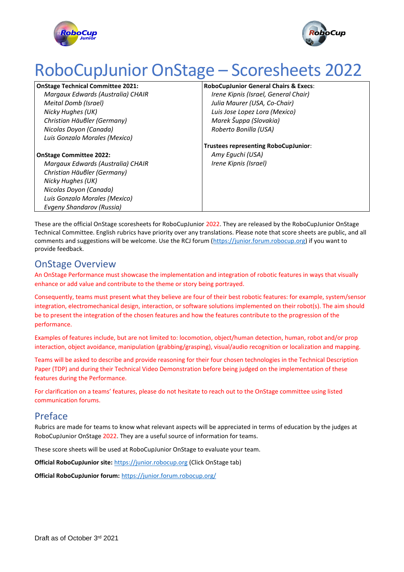



# RoboCupJunior OnStage – Scoresheets 2022

**OnStage Technical Committee 2021:** *Margaux Edwards (Australia) CHAIR Meital Domb (Israel) Nicky Hughes (UK) Christian Häuβler (Germany) Nicolas Doyon (Canada) Luis Gonzalo Morales (Mexico)*

**RoboCupJunior General Chairs & Execs**:

*Irene Kipnis (Israel, General Chair) Julia Maurer (USA, Co-Chair) Luis Jose Lopez Lora (Mexico) Marek Šuppa (Slovakia) Roberto Bonilla (USA)*

**Trustees representing RoboCupJunior**: *Amy Eguchi (USA) Irene Kipnis (Israel)*

**OnStage Committee 2022:** *Margaux Edwards (Australia) CHAIR Christian Häuβler (Germany) Nicky Hughes (UK) Nicolas Doyon (Canada) Luis Gonzalo Morales (Mexico) Evgeny Shandarov (Russia)*

These are the official OnStage scoresheets for RoboCupJunior 2022. They are released by the RoboCupJunior OnStage Technical Committee. English rubrics have priority over any translations. Please note that score sheets are public, and all comments and suggestions will be welcome. Use the RCJ forum [\(https://junior.forum.robocup.org\)](https://junior.forum.robocup.org/) if you want to provide feedback.

## OnStage Overview

An OnStage Performance must showcase the implementation and integration of robotic features in ways that visually enhance or add value and contribute to the theme or story being portrayed.

Consequently, teams must present what they believe are four of their best robotic features: for example, system/sensor integration, electromechanical design, interaction, or software solutions implemented on their robot(s). The aim should be to present the integration of the chosen features and how the features contribute to the progression of the performance.

Examples of features include, but are not limited to: locomotion, object/human detection, human, robot and/or prop interaction, object avoidance, manipulation (grabbing/grasping), visual/audio recognition or localization and mapping.

Teams will be asked to describe and provide reasoning for their four chosen technologies in the Technical Description Paper (TDP) and during their Technical Video Demonstration before being judged on the implementation of these features during the Performance.

For clarification on a teams' features, please do not hesitate to reach out to the OnStage committee using listed communication forums.

### Preface

Rubrics are made for teams to know what relevant aspects will be appreciated in terms of education by the judges at RoboCupJunior OnStage 2022. They are a useful source of information for teams.

These score sheets will be used at RoboCupJunior OnStage to evaluate your team.

**Official RoboCupJunior site:** [https://junior.robocup.org](https://junior.robocup.org/) (Click OnStage tab)

**Official RoboCupJunior forum:** <https://junior.forum.robocup.org/>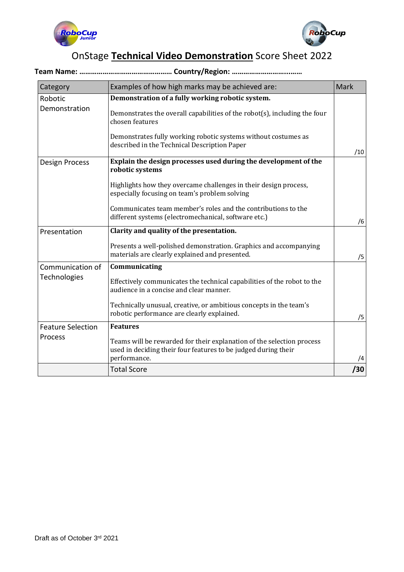



# OnStage **Technical Video Demonstration** Score Sheet 2022

#### **Team Name: ………………………………………… Country/Region: ………………………...……**

| Category                         | Examples of how high marks may be achieved are:                                                                                                         | <b>Mark</b> |
|----------------------------------|---------------------------------------------------------------------------------------------------------------------------------------------------------|-------------|
| Robotic<br>Demonstration         | Demonstration of a fully working robotic system.                                                                                                        |             |
|                                  | Demonstrates the overall capabilities of the robot(s), including the four<br>chosen features                                                            |             |
|                                  | Demonstrates fully working robotic systems without costumes as<br>described in the Technical Description Paper                                          | /10         |
| Design Process                   | Explain the design processes used during the development of the<br>robotic systems                                                                      |             |
|                                  | Highlights how they overcame challenges in their design process,<br>especially focusing on team's problem solving                                       |             |
|                                  | Communicates team member's roles and the contributions to the<br>different systems (electromechanical, software etc.)                                   | /6          |
| Presentation                     | Clarity and quality of the presentation.                                                                                                                |             |
|                                  | Presents a well-polished demonstration. Graphics and accompanying<br>materials are clearly explained and presented.                                     | /5          |
| Communication of<br>Technologies | Communicating                                                                                                                                           |             |
|                                  | Effectively communicates the technical capabilities of the robot to the<br>audience in a concise and clear manner.                                      |             |
|                                  | Technically unusual, creative, or ambitious concepts in the team's<br>robotic performance are clearly explained.                                        | /5          |
| <b>Feature Selection</b>         | <b>Features</b>                                                                                                                                         |             |
| Process                          | Teams will be rewarded for their explanation of the selection process<br>used in deciding their four features to be judged during their<br>performance. | /4          |
|                                  | <b>Total Score</b>                                                                                                                                      | /30         |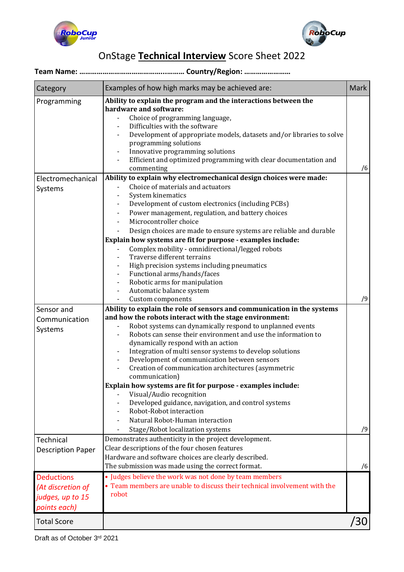



# OnStage **Technical Interview** Score Sheet 2022

#### **Team Name: ……………………………………...……… Country/Region: ……………………**

| Category                                                                   | Examples of how high marks may be achieved are:                                                                                                                                                                                                                                                                                                                                                                                                                                                                                                                                                                                                                                                                                                                                                                                                      | <b>Mark</b> |
|----------------------------------------------------------------------------|------------------------------------------------------------------------------------------------------------------------------------------------------------------------------------------------------------------------------------------------------------------------------------------------------------------------------------------------------------------------------------------------------------------------------------------------------------------------------------------------------------------------------------------------------------------------------------------------------------------------------------------------------------------------------------------------------------------------------------------------------------------------------------------------------------------------------------------------------|-------------|
| Programming<br>Electromechanical<br>Systems                                | Ability to explain the program and the interactions between the<br>hardware and software:<br>Choice of programming language,<br>Difficulties with the software<br>Development of appropriate models, datasets and/or libraries to solve<br>programming solutions<br>Innovative programming solutions<br>Efficient and optimized programming with clear documentation and<br>commenting<br>Ability to explain why electromechanical design choices were made:<br>Choice of materials and actuators<br>System kinematics<br>Development of custom electronics (including PCBs)<br>Power management, regulation, and battery choices<br>Microcontroller choice<br>Design choices are made to ensure systems are reliable and durable<br>Explain how systems are fit for purpose - examples include:<br>Complex mobility - omnidirectional/legged robots | /6          |
|                                                                            | Traverse different terrains<br>High precision systems including pneumatics<br>Functional arms/hands/faces<br>Robotic arms for manipulation<br>Automatic balance system<br>Custom components                                                                                                                                                                                                                                                                                                                                                                                                                                                                                                                                                                                                                                                          | /9          |
| Sensor and<br>Communication<br>Systems                                     | Ability to explain the role of sensors and communication in the systems<br>and how the robots interact with the stage environment:<br>Robot systems can dynamically respond to unplanned events<br>Robots can sense their environment and use the information to<br>dynamically respond with an action<br>Integration of multi sensor systems to develop solutions<br>Development of communication between sensors<br>Creation of communication architectures (asymmetric<br>communication)<br>Explain how systems are fit for purpose - examples include:<br>Visual/Audio recognition                                                                                                                                                                                                                                                               |             |
|                                                                            | Developed guidance, navigation, and control systems<br>Robot-Robot interaction<br>Natural Robot-Human interaction<br>Stage/Robot localization systems                                                                                                                                                                                                                                                                                                                                                                                                                                                                                                                                                                                                                                                                                                | /9          |
| Technical<br><b>Description Paper</b>                                      | Demonstrates authenticity in the project development.<br>Clear descriptions of the four chosen features<br>Hardware and software choices are clearly described.<br>The submission was made using the correct format.                                                                                                                                                                                                                                                                                                                                                                                                                                                                                                                                                                                                                                 | /6          |
| <b>Deductions</b><br>(At discretion of<br>judges, up to 15<br>points each) | • Judges believe the work was not done by team members<br>• Team members are unable to discuss their technical involvement with the<br>robot                                                                                                                                                                                                                                                                                                                                                                                                                                                                                                                                                                                                                                                                                                         |             |
| <b>Total Score</b>                                                         |                                                                                                                                                                                                                                                                                                                                                                                                                                                                                                                                                                                                                                                                                                                                                                                                                                                      | /30         |